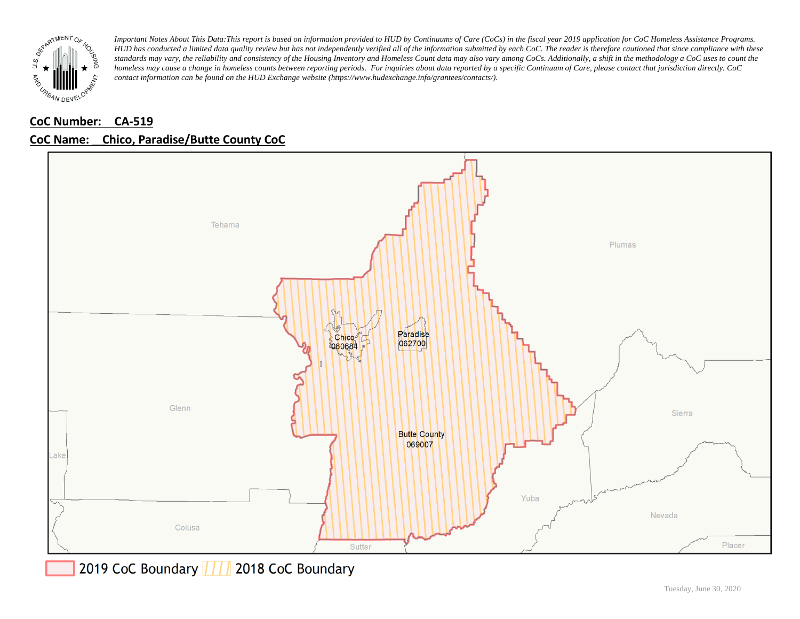

# **CoC Number: CA-519**



### **CoC Name: \_\_ Chico, Paradise/Butte County CoC**

2019 CoC Boundary | | | 2018 CoC Boundary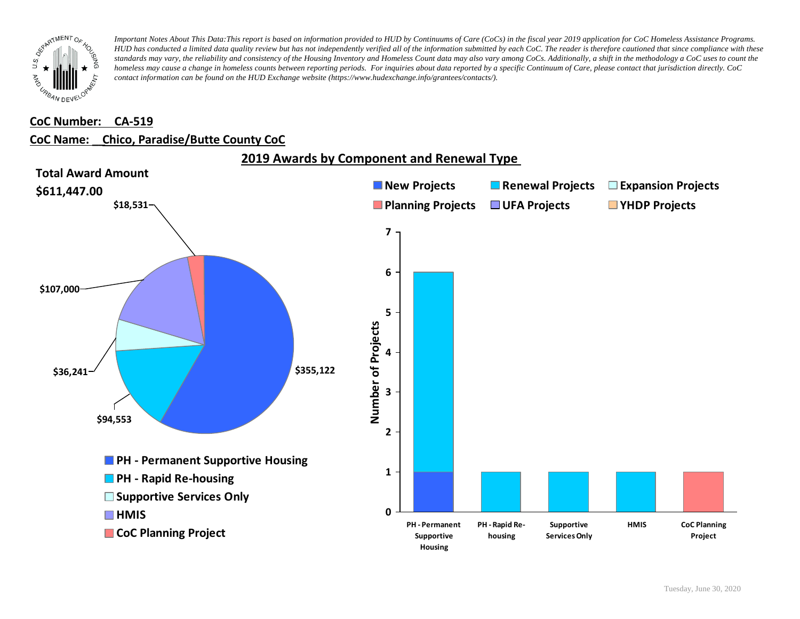

#### **CoC Number: CA-519**

#### **CoC Name: \_\_ Chico, Paradise/Butte County CoC**

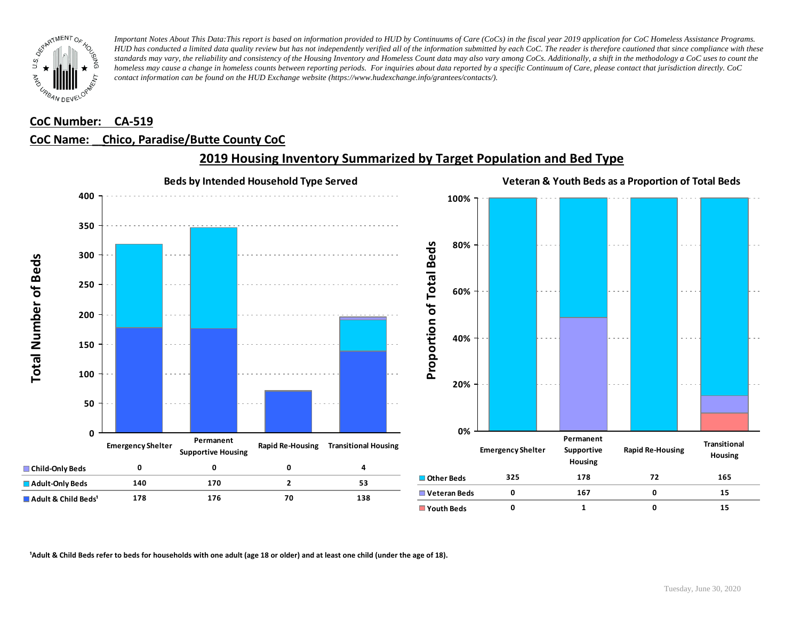

### **CoC Number: CA-519**

## **CoC Name: \_\_ Chico, Paradise/Butte County CoC**



## **2019 Housing Inventory Summarized by Target Population and Bed Type**

<sup>1</sup> Adult & Child Beds refer to beds for households with one adult (age 18 or older) and at least one child (under the age of 18).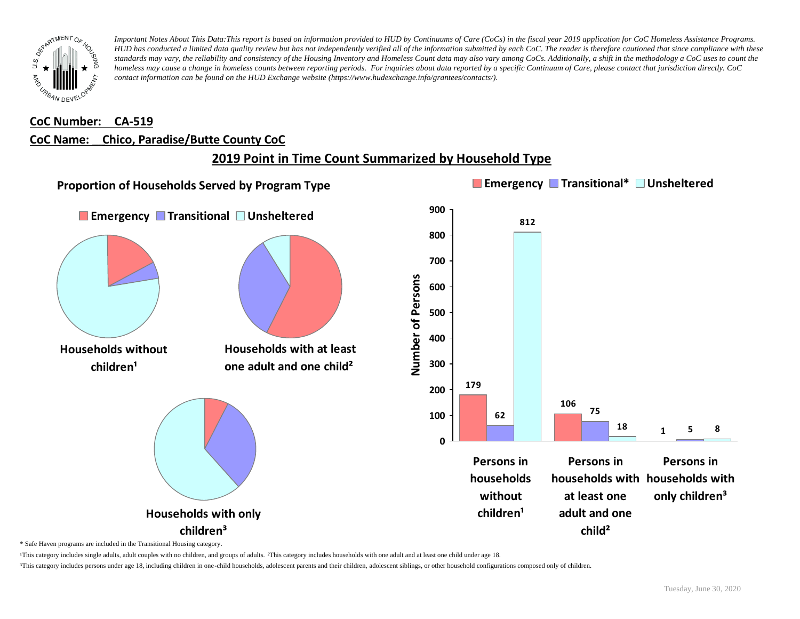

#### **CoC Number: CA-519**

#### **CoC Name: \_\_ Chico, Paradise/Butte County CoC**

# **2019 Point in Time Count Summarized by Household Type**



\* Safe Haven programs are included in the Transitional Housing category.

¹This category includes single adults, adult couples with no children, and groups of adults. ²This category includes households with one adult and at least one child under age 18.

³This category includes persons under age 18, including children in one-child households, adolescent parents and their children, adolescent siblings, or other household configurations composed only of children.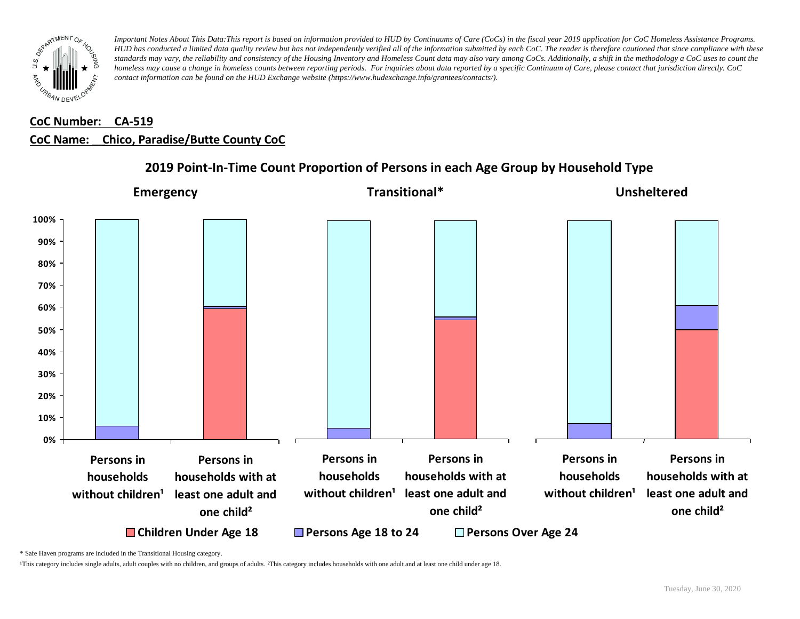

# **CoC Number: CA-519 CoC Name: \_\_ Chico, Paradise/Butte County CoC**



## **2019 Point-In-Time Count Proportion of Persons in each Age Group by Household Type**

\* Safe Haven programs are included in the Transitional Housing category.

¹This category includes single adults, adult couples with no children, and groups of adults. ²This category includes households with one adult and at least one child under age 18.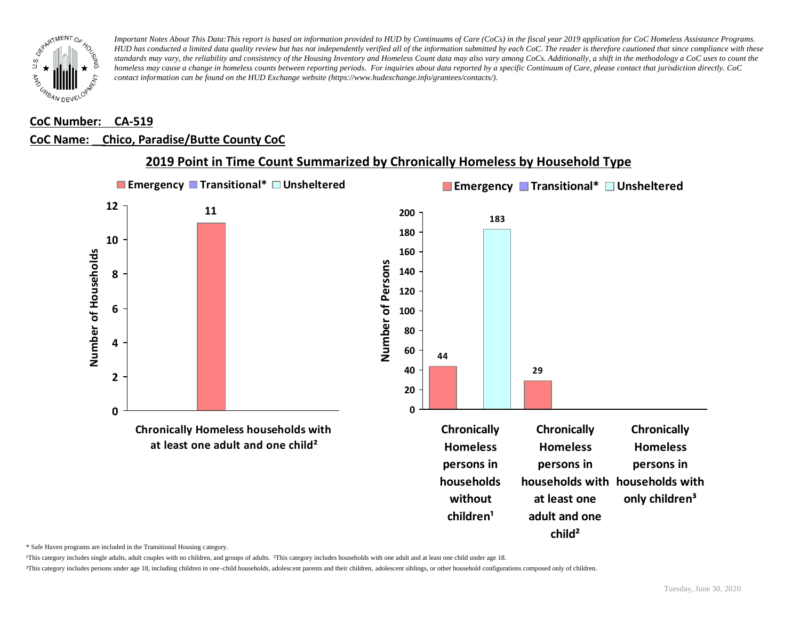

### **CoC Number: CA-519**

### **CoC Name: \_\_ Chico, Paradise/Butte County CoC**



**2019 Point in Time Count Summarized by Chronically Homeless by Household Type**

\* Safe Haven programs are included in the Transitional Housing category.

¹This category includes single adults, adult couples with no children, and groups of adults. ²This category includes households with one adult and at least one child under age 18.

³This category includes persons under age 18, including children in one -child households, adolescent parents and their children, adolescent siblings, or other household configurations composed only of children.